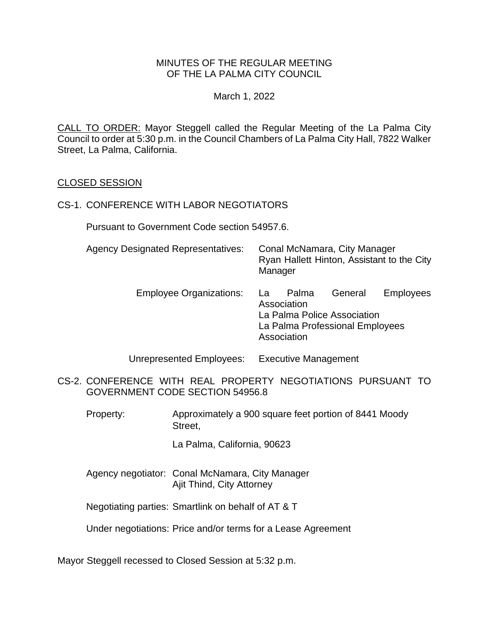#### MINUTES OF THE REGULAR MEETING OF THE LA PALMA CITY COUNCIL

March 1, 2022

[CALL TO ORDER:](https://lapalma.granicus.com/MediaPlayer.php?view_id=&clip_id=1284&meta_id=172143) Mayor Steggell called the Regular Meeting of the La Palma City Council to order at 5:30 p.m. in the Council Chambers of La Palma City Hall, 7822 Walker Street, La Palma, California.

#### [CLOSED SESSION](https://lapalma.granicus.com/MediaPlayer.php?view_id=&clip_id=1284&meta_id=172144)

#### CS-1. [CONFERENCE WITH LABOR NEGOTIATORS](https://lapalma.granicus.com/MediaPlayer.php?view_id=&clip_id=1284&meta_id=172145)

Pursuant to Government Code section 54957.6.

| <b>Agency Designated Representatives:</b> | Conal McNamara, City Manager<br>Ryan Hallett Hinton, Assistant to the City<br>Manager |                                     |                                                                           |           |
|-------------------------------------------|---------------------------------------------------------------------------------------|-------------------------------------|---------------------------------------------------------------------------|-----------|
| <b>Employee Organizations:</b>            | La                                                                                    | Palma<br>Association<br>Association | General<br>La Palma Police Association<br>La Palma Professional Employees | Employees |

Unrepresented Employees: Executive Management

CS-2. [CONFERENCE WITH REAL PROPERTY NEGOTIATIONS PURSUANT TO](https://lapalma.granicus.com/MediaPlayer.php?view_id=&clip_id=1284&meta_id=172146)  [GOVERNMENT CODE SECTION 54956.8](https://lapalma.granicus.com/MediaPlayer.php?view_id=&clip_id=1284&meta_id=172146)

Property: Approximately a 900 square feet portion of 8441 Moody Street,

La Palma, California, 90623

Agency negotiator: Conal McNamara, City Manager Ajit Thind, City Attorney

Negotiating parties: Smartlink on behalf of AT & T

Under negotiations: Price and/or terms for a Lease Agreement

Mayor Steggell recessed to Closed Session at 5:32 p.m.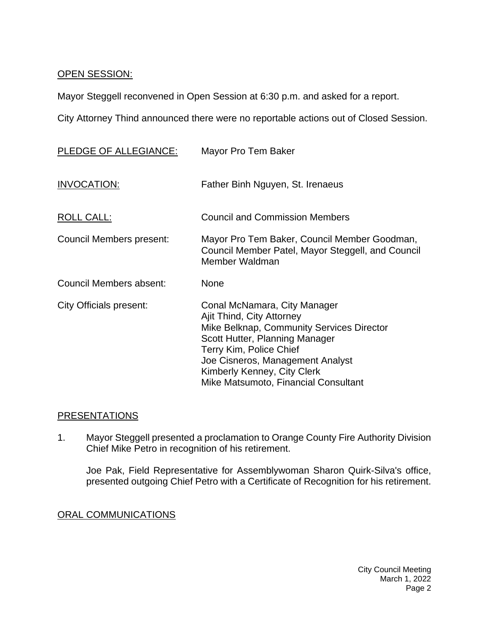# OPEN SESSION:

Mayor Steggell reconvened in Open Session at 6:30 p.m. and asked for a report.

City Attorney Thind announced there were no reportable actions out of Closed Session.

| PLEDGE OF ALLEGIANCE:          | Mayor Pro Tem Baker                                                                                                                                                                                                                                                            |
|--------------------------------|--------------------------------------------------------------------------------------------------------------------------------------------------------------------------------------------------------------------------------------------------------------------------------|
| INVOCATION:                    | Father Binh Nguyen, St. Irenaeus                                                                                                                                                                                                                                               |
| <u>ROLL CALL:</u>              | <b>Council and Commission Members</b>                                                                                                                                                                                                                                          |
| Council Members present:       | Mayor Pro Tem Baker, Council Member Goodman,<br>Council Member Patel, Mayor Steggell, and Council<br>Member Waldman                                                                                                                                                            |
| Council Members absent:        | <b>None</b>                                                                                                                                                                                                                                                                    |
| <b>City Officials present:</b> | Conal McNamara, City Manager<br>Ajit Thind, City Attorney<br>Mike Belknap, Community Services Director<br>Scott Hutter, Planning Manager<br>Terry Kim, Police Chief<br>Joe Cisneros, Management Analyst<br>Kimberly Kenney, City Clerk<br>Mike Matsumoto, Financial Consultant |

### **[PRESENTATIONS](https://lapalma.granicus.com/MediaPlayer.php?view_id=&clip_id=1284&meta_id=172150)**

1. [Mayor Steggell presented a proclamation to Orange County Fire Authority Division](https://lapalma.granicus.com/MediaPlayer.php?view_id=&clip_id=1284&meta_id=172151)  [Chief Mike Petro](https://lapalma.granicus.com/MediaPlayer.php?view_id=&clip_id=1284&meta_id=172151) in recognition of his retirement.

Joe Pak, Field Representative for Assemblywoman Sharon Quirk-Silva's office, presented outgoing Chief Petro with a Certificate of Recognition for his retirement.

### [ORAL COMMUNICATIONS](https://lapalma.granicus.com/MediaPlayer.php?view_id=&clip_id=1284&meta_id=172152)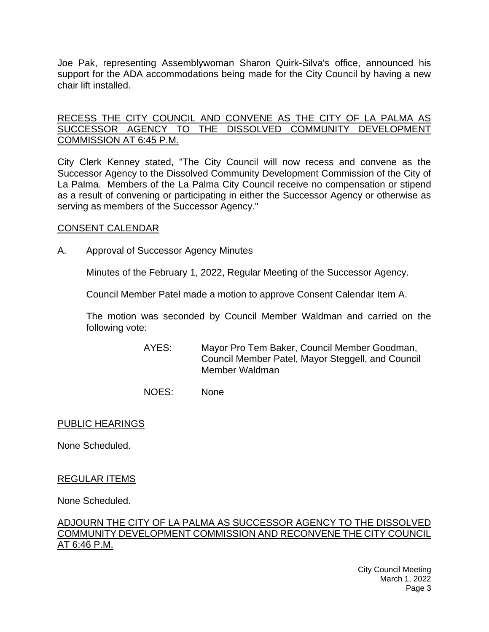Joe Pak, representing Assemblywoman Sharon Quirk-Silva's office, announced his support for the ADA accommodations being made for the City Council by having a new chair lift installed.

### [RECESS THE CITY COUNCIL AND CONVENE AS THE CITY OF LA PALMA AS](https://lapalma.granicus.com/MediaPlayer.php?view_id=&clip_id=1284&meta_id=172153)  [SUCCESSOR AGENCY TO THE DISSOLVED COMMUNITY DEVELOPMENT](https://lapalma.granicus.com/MediaPlayer.php?view_id=&clip_id=1284&meta_id=172153)  [COMMISSION AT 6:45 P.M.](https://lapalma.granicus.com/MediaPlayer.php?view_id=&clip_id=1284&meta_id=172153)

[City Clerk Kenney stated, "The City Council will now recess and convene as the](https://lapalma.granicus.com/MediaPlayer.php?view_id=&clip_id=1284&meta_id=172154)  [Successor Agency to the Dissolved Community Development Commission of the City of](https://lapalma.granicus.com/MediaPlayer.php?view_id=&clip_id=1284&meta_id=172154)  La Palma. [Members of the La Palma City Council receive no compensation or stipend](https://lapalma.granicus.com/MediaPlayer.php?view_id=&clip_id=1284&meta_id=172154)  [as a result of convening or participating in either the Successor Agency or otherwise as](https://lapalma.granicus.com/MediaPlayer.php?view_id=&clip_id=1284&meta_id=172154)  [serving as members of the Successor Agency."](https://lapalma.granicus.com/MediaPlayer.php?view_id=&clip_id=1284&meta_id=172154)

### [CONSENT CALENDAR](https://lapalma.granicus.com/MediaPlayer.php?view_id=&clip_id=1284&meta_id=172155)

A. Approval of Successor Agency Minutes

Minutes of the February 1, 2022, Regular Meeting of the Successor Agency.

Council Member Patel made a motion to approve Consent Calendar Item A.

The motion was seconded by Council Member Waldman and carried on the following vote:

- AYES: Mayor Pro Tem Baker, Council Member Goodman, Council Member Patel, Mayor Steggell, and Council Member Waldman
- NOES: None

### PUBLIC HEARINGS

None Scheduled.

## REGULAR ITEMS

None Scheduled.

### [ADJOURN THE CITY OF LA PALMA AS SUCCESSOR AGENCY TO THE DISSOLVED](https://lapalma.granicus.com/MediaPlayer.php?view_id=&clip_id=1284&meta_id=172159)  [COMMUNITY DEVELOPMENT COMMISSION AND RECONVENE THE CITY COUNCIL](https://lapalma.granicus.com/MediaPlayer.php?view_id=&clip_id=1284&meta_id=172159)  [AT 6:46 P.M.](https://lapalma.granicus.com/MediaPlayer.php?view_id=&clip_id=1284&meta_id=172159)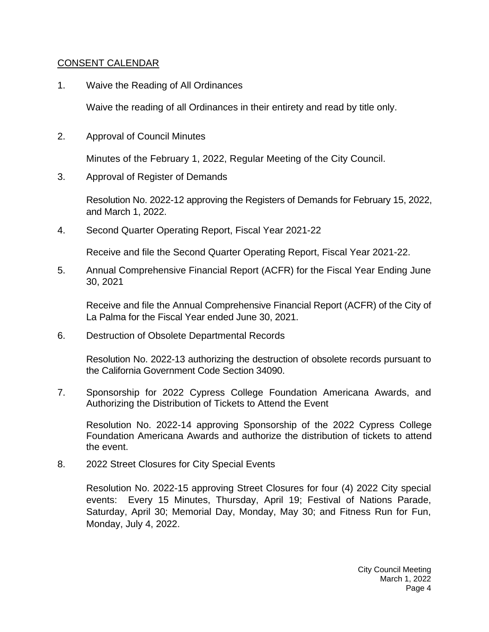### [CONSENT CALENDAR](https://lapalma.granicus.com/MediaPlayer.php?view_id=&clip_id=1284&meta_id=172161)

1. Waive the Reading of All Ordinances

Waive the reading of all Ordinances in their entirety and read by title only.

2. Approval of Council Minutes

Minutes of the February 1, 2022, Regular Meeting of the City Council.

3. Approval of Register of Demands

Resolution No. 2022-12 approving the Registers of Demands for February 15, 2022, and March 1, 2022.

4. Second Quarter Operating Report, Fiscal Year 2021-22

Receive and file the Second Quarter Operating Report, Fiscal Year 2021-22.

5. Annual Comprehensive Financial Report (ACFR) for the Fiscal Year Ending June 30, 2021

Receive and file the Annual Comprehensive Financial Report (ACFR) of the City of La Palma for the Fiscal Year ended June 30, 2021.

6. Destruction of Obsolete Departmental Records

Resolution No. 2022-13 authorizing the destruction of obsolete records pursuant to the California Government Code Section 34090.

7. Sponsorship for 2022 Cypress College Foundation Americana Awards, and Authorizing the Distribution of Tickets to Attend the Event

Resolution No. 2022-14 approving Sponsorship of the 2022 Cypress College Foundation Americana Awards and authorize the distribution of tickets to attend the event.

8. 2022 Street Closures for City Special Events

Resolution No. 2022-15 approving Street Closures for four (4) 2022 City special events: Every 15 Minutes, Thursday, April 19; Festival of Nations Parade, Saturday, April 30; Memorial Day, Monday, May 30; and Fitness Run for Fun, Monday, July 4, 2022.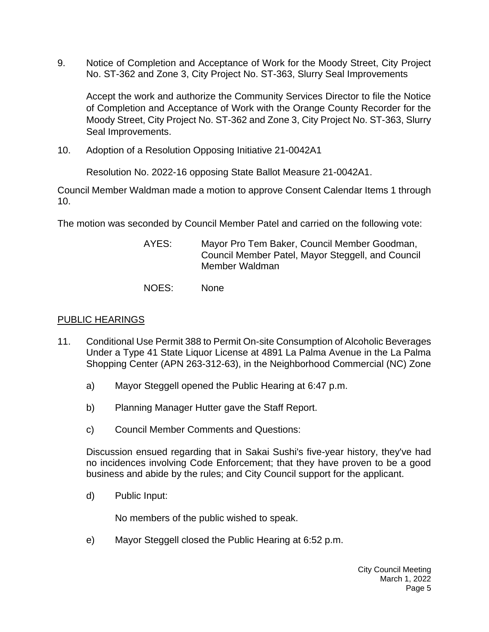9. Notice of Completion and Acceptance of Work for the Moody Street, City Project No. ST-362 and Zone 3, City Project No. ST-363, Slurry Seal Improvements

Accept the work and authorize the Community Services Director to file the Notice of Completion and Acceptance of Work with the Orange County Recorder for the Moody Street, City Project No. ST-362 and Zone 3, City Project No. ST-363, Slurry Seal Improvements.

10. Adoption of a Resolution Opposing Initiative 21-0042A1

Resolution No. 2022-16 opposing State Ballot Measure 21-0042A1.

Council Member Waldman made a motion to approve Consent Calendar Items 1 through 10.

The motion was seconded by Council Member Patel and carried on the following vote:

- AYES: Mayor Pro Tem Baker, Council Member Goodman, Council Member Patel, Mayor Steggell, and Council Member Waldman
- NOES: None

## [PUBLIC HEARINGS](https://lapalma.granicus.com/MediaPlayer.php?view_id=&clip_id=1284&meta_id=172172)

- 11. [Conditional Use Permit 388 to Permit On-site Consumption of Alcoholic Beverages](https://lapalma.granicus.com/MediaPlayer.php?view_id=&clip_id=1284&meta_id=172173)  [Under a Type 41 State Liquor License at 4891 La Palma Avenue in the La Palma](https://lapalma.granicus.com/MediaPlayer.php?view_id=&clip_id=1284&meta_id=172173)  [Shopping Center \(APN 263-312-63\), in the Neighborhood Commercial \(NC\) Zone](https://lapalma.granicus.com/MediaPlayer.php?view_id=&clip_id=1284&meta_id=172173)
	- a) Mayor Steggell opened the Public Hearing at 6:47 p.m.
	- b) [Planning Manager Hutter gave the](https://lapalma.granicus.com/MediaPlayer.php?view_id=&clip_id=1284&meta_id=172175) Staff Report.
	- c) [Council Member Comments and Questions:](https://lapalma.granicus.com/MediaPlayer.php?view_id=&clip_id=1284&meta_id=172176)

Discussion ensued regarding that in Sakai Sushi's five-year history, they've had no incidences involving Code Enforcement; that they have proven to be a good business and abide by the rules; and City Council support for the applicant.

d) [Public Input:](https://lapalma.granicus.com/MediaPlayer.php?view_id=&clip_id=1284&meta_id=172177)

No members of the public wished to speak.

e) [Mayor Steggell closed the Public Hearing at 6:52 p.m.](https://lapalma.granicus.com/MediaPlayer.php?view_id=&clip_id=1284&meta_id=172178)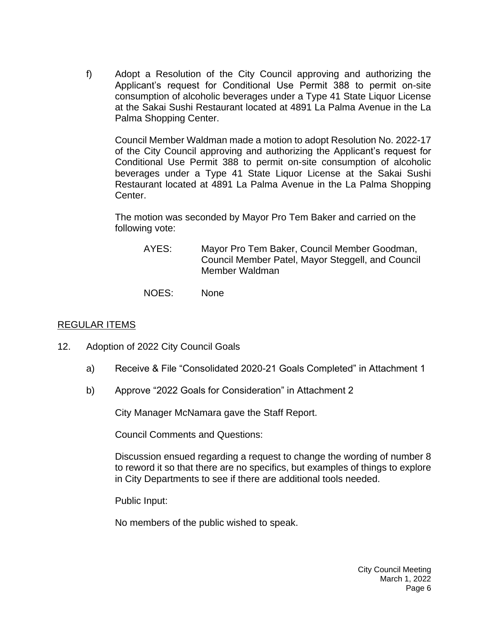f) Adopt a Resolution of the City Council approving and authorizing the Applicant's request for Conditional Use Permit 388 to permit on-site consumption of alcoholic beverages under a Type 41 State Liquor License at the Sakai Sushi Restaurant located at 4891 La Palma Avenue in the La Palma Shopping Center.

Council Member Waldman made a motion to adopt Resolution No. 2022-17 of the City Council approving and authorizing the Applicant's request for Conditional Use Permit 388 to permit on-site consumption of alcoholic beverages under a Type 41 State Liquor License at the Sakai Sushi Restaurant located at 4891 La Palma Avenue in the La Palma Shopping Center.

The motion was seconded by Mayor Pro Tem Baker and carried on the following vote:

- AYES: Mayor Pro Tem Baker, Council Member Goodman, Council Member Patel, Mayor Steggell, and Council Member Waldman
- NOES: None

### [REGULAR ITEMS](https://lapalma.granicus.com/MediaPlayer.php?view_id=&clip_id=1284&meta_id=172180)

- 12. [Adoption of 2022 City Council Goals](https://lapalma.granicus.com/MediaPlayer.php?view_id=&clip_id=1284&meta_id=172181)
	- a) Receive & File "Consolidated 2020-21 Goals Completed" in Attachment 1
	- b) Approve "2022 Goals for Consideration" in Attachment 2

City Manager McNamara gave the Staff Report.

Council Comments and Questions:

Discussion ensued regarding a request to change the wording of number 8 to reword it so that there are no specifics, but examples of things to explore in City Departments to see if there are additional tools needed.

Public Input:

No members of the public wished to speak.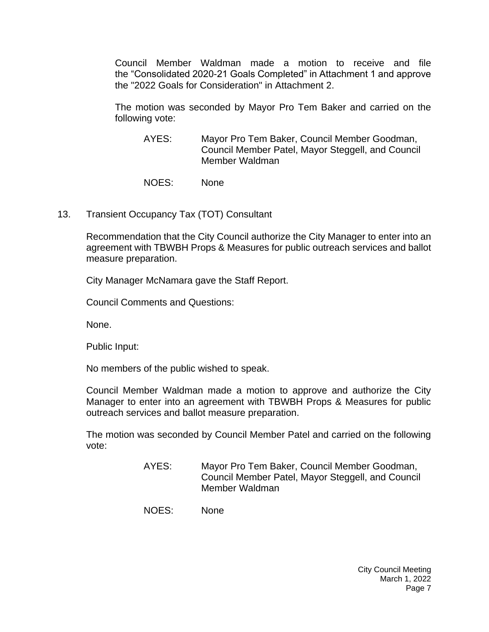Council Member Waldman made a motion to receive and file the "Consolidated 2020-21 Goals Completed" in Attachment 1 and approve the "2022 Goals for Consideration" in Attachment 2.

The motion was seconded by Mayor Pro Tem Baker and carried on the following vote:

- AYES: Mayor Pro Tem Baker, Council Member Goodman, Council Member Patel, Mayor Steggell, and Council Member Waldman
- NOES: None
- 13. [Transient Occupancy Tax \(TOT\) Consultant](https://lapalma.granicus.com/MediaPlayer.php?view_id=&clip_id=1284&meta_id=172184)

Recommendation that the City Council authorize the City Manager to enter into an agreement with TBWBH Props & Measures for public outreach services and ballot measure preparation.

City Manager McNamara gave the Staff Report.

Council Comments and Questions:

None.

Public Input:

No members of the public wished to speak.

Council Member Waldman made a motion to approve and authorize the City Manager to enter into an agreement with TBWBH Props & Measures for public outreach services and ballot measure preparation.

The motion was seconded by Council Member Patel and carried on the following vote:

- AYES: Mayor Pro Tem Baker, Council Member Goodman, Council Member Patel, Mayor Steggell, and Council Member Waldman
- NOES: None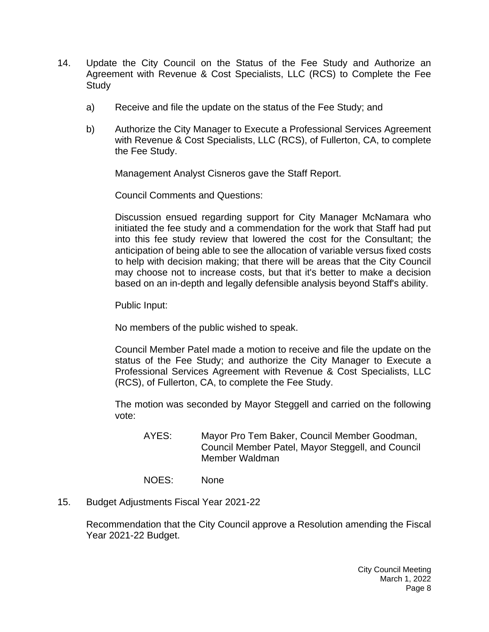- 14. [Update the City Council on the Status of the Fee Study and Authorize an](https://lapalma.granicus.com/MediaPlayer.php?view_id=&clip_id=1284&meta_id=172185)  [Agreement with Revenue & Cost Specialists, LLC \(RCS\) to Complete the Fee](https://lapalma.granicus.com/MediaPlayer.php?view_id=&clip_id=1284&meta_id=172185)  **[Study](https://lapalma.granicus.com/MediaPlayer.php?view_id=&clip_id=1284&meta_id=172185)** 
	- a) Receive and file the update on the status of the Fee Study; and
	- b) Authorize the City Manager to Execute a Professional Services Agreement with Revenue & Cost Specialists, LLC (RCS), of Fullerton, CA, to complete the Fee Study.

Management Analyst Cisneros gave the Staff Report.

Council Comments and Questions:

Discussion ensued regarding support for City Manager McNamara who initiated the fee study and a commendation for the work that Staff had put into this fee study review that lowered the cost for the Consultant; the anticipation of being able to see the allocation of variable versus fixed costs to help with decision making; that there will be areas that the City Council may choose not to increase costs, but that it's better to make a decision based on an in-depth and legally defensible analysis beyond Staff's ability.

Public Input:

No members of the public wished to speak.

Council Member Patel made a motion to receive and file the update on the status of the Fee Study; and authorize the City Manager to Execute a Professional Services Agreement with Revenue & Cost Specialists, LLC (RCS), of Fullerton, CA, to complete the Fee Study.

The motion was seconded by Mayor Steggell and carried on the following vote:

- AYES: Mayor Pro Tem Baker, Council Member Goodman, Council Member Patel, Mayor Steggell, and Council Member Waldman
- NOES: None
- 15. [Budget Adjustments Fiscal Year 2021-22](https://lapalma.granicus.com/MediaPlayer.php?view_id=&clip_id=1284&meta_id=172188)

Recommendation that the City Council approve a Resolution amending the Fiscal Year 2021-22 Budget.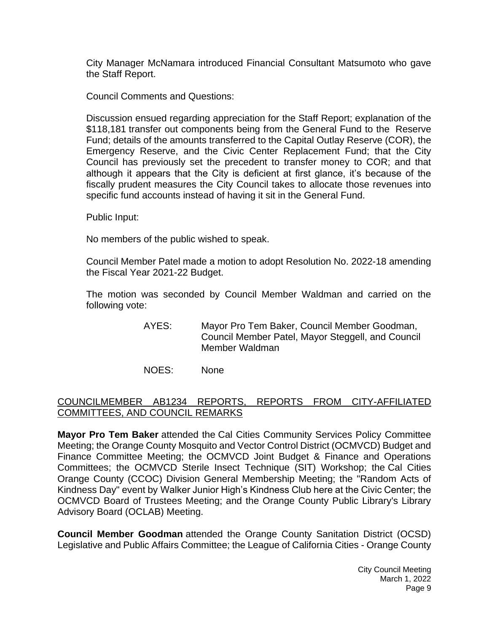City Manager McNamara introduced Financial Consultant Matsumoto who gave the Staff Report.

Council Comments and Questions:

Discussion ensued regarding appreciation for the Staff Report; explanation of the \$118,181 transfer out components being from the General Fund to the Reserve Fund; details of the amounts transferred to the Capital Outlay Reserve (COR), the Emergency Reserve, and the Civic Center Replacement Fund; that the City Council has previously set the precedent to transfer money to COR; and that although it appears that the City is deficient at first glance, it's because of the fiscally prudent measures the City Council takes to allocate those revenues into specific fund accounts instead of having it sit in the General Fund.

Public Input:

No members of the public wished to speak.

Council Member Patel made a motion to adopt Resolution No. 2022-18 amending the Fiscal Year 2021-22 Budget.

The motion was seconded by Council Member Waldman and carried on the following vote:

- AYES: Mayor Pro Tem Baker, Council Member Goodman, Council Member Patel, Mayor Steggell, and Council Member Waldman
- NOES: None

### [COUNCILMEMBER AB1234 REPORTS, REPORTS FROM CITY-AFFILIATED](https://lapalma.granicus.com/MediaPlayer.php?view_id=&clip_id=1284&meta_id=172189)  [COMMITTEES, AND COUNCIL REMARKS](https://lapalma.granicus.com/MediaPlayer.php?view_id=&clip_id=1284&meta_id=172189)

**Mayor Pro Tem Baker** attended the Cal Cities Community Services Policy Committee Meeting; the Orange County Mosquito and Vector Control District (OCMVCD) Budget and Finance Committee Meeting; the OCMVCD Joint Budget & Finance and Operations Committees; the OCMVCD Sterile Insect Technique (SIT) Workshop; the Cal Cities Orange County (CCOC) Division General Membership Meeting; the "Random Acts of Kindness Day" event by Walker Junior High's Kindness Club here at the Civic Center; the OCMVCD Board of Trustees Meeting; and the Orange County Public Library's Library Advisory Board (OCLAB) Meeting.

**Council Member Goodman** attended the Orange County Sanitation District (OCSD) Legislative and Public Affairs Committee; the League of California Cities - Orange County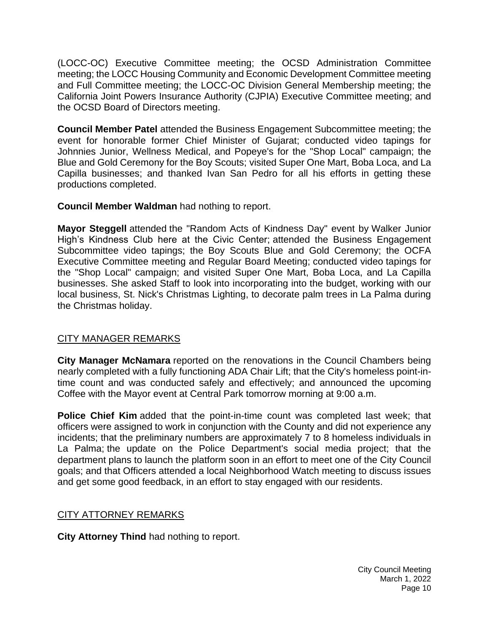(LOCC-OC) Executive Committee meeting; the OCSD Administration Committee meeting; the LOCC Housing Community and Economic Development Committee meeting and Full Committee meeting; the LOCC-OC Division General Membership meeting; the California Joint Powers Insurance Authority (CJPIA) Executive Committee meeting; and the OCSD Board of Directors meeting.

**Council Member Patel** attended the Business Engagement Subcommittee meeting; the event for honorable former Chief Minister of Gujarat; conducted video tapings for Johnnies Junior, Wellness Medical, and Popeye's for the "Shop Local" campaign; the Blue and Gold Ceremony for the Boy Scouts; visited Super One Mart, Boba Loca, and La Capilla businesses; and thanked Ivan San Pedro for all his efforts in getting these productions completed.

**Council Member Waldman** had nothing to report.

**Mayor Steggell** attended the "Random Acts of Kindness Day" event by Walker Junior High's Kindness Club here at the Civic Center; attended the Business Engagement Subcommittee video tapings; the Boy Scouts Blue and Gold Ceremony; the OCFA Executive Committee meeting and Regular Board Meeting; conducted video tapings for the "Shop Local" campaign; and visited Super One Mart, Boba Loca, and La Capilla businesses. She asked Staff to look into incorporating into the budget, working with our local business, St. Nick's Christmas Lighting, to decorate palm trees in La Palma during the Christmas holiday.

# [CITY MANAGER REMARKS](https://lapalma.granicus.com/MediaPlayer.php?view_id=&clip_id=1284&meta_id=172190)

**City Manager McNamara** reported on the renovations in the Council Chambers being nearly completed with a fully functioning ADA Chair Lift; that the City's homeless point-intime count and was conducted safely and effectively; and announced the upcoming Coffee with the Mayor event at Central Park tomorrow morning at 9:00 a.m.

**Police Chief Kim** added that the point-in-time count was completed last week; that officers were assigned to work in conjunction with the County and did not experience any incidents; that the preliminary numbers are approximately 7 to 8 homeless individuals in La Palma; the update on the Police Department's social media project; that the department plans to launch the platform soon in an effort to meet one of the City Council goals; and that Officers attended a local Neighborhood Watch meeting to discuss issues and get some good feedback, in an effort to stay engaged with our residents.

# [CITY ATTORNEY REMARKS](https://lapalma.granicus.com/MediaPlayer.php?view_id=&clip_id=1284&meta_id=172191)

**City Attorney Thind** had nothing to report.